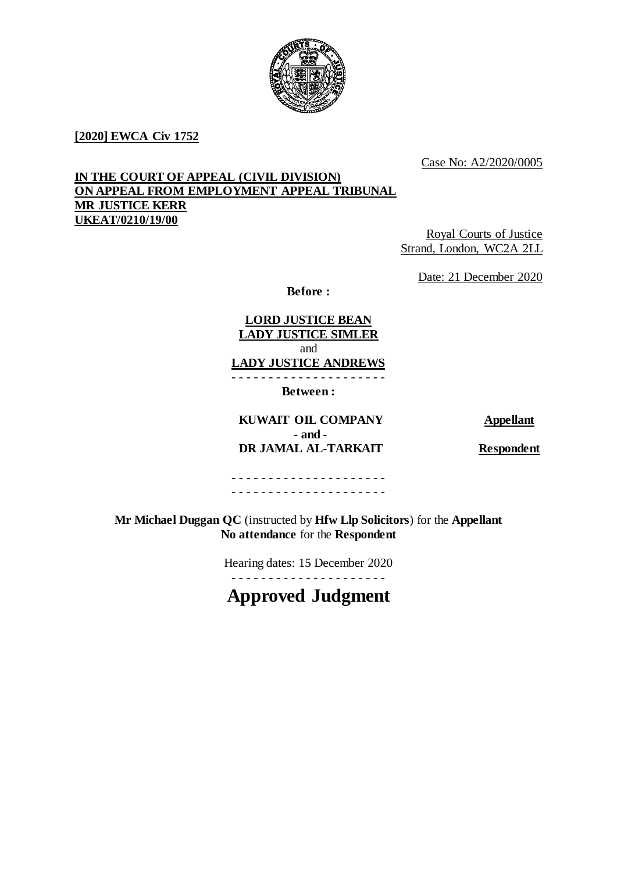

## **[2020] EWCA Civ 1752**

Case No: A2/2020/0005

# **IN THE COURT OF APPEAL (CIVIL DIVISION) ON APPEAL FROM EMPLOYMENT APPEAL TRIBUNAL MR JUSTICE KERR UKEAT/0210/19/00**

Royal Courts of Justice Strand, London, WC2A 2LL

Date: 21 December 2020

**Before :**

**LORD JUSTICE BEAN LADY JUSTICE SIMLER** and **LADY JUSTICE ANDREWS**

- - - - - - - - - - - - - - - - - - - - -

**Between :**

# **KUWAIT OIL COMPANY** Appellant **- and - DR JAMAL AL-TARKAIT Respondent**

- - - - - - - - - - - - - - - - - - - - - - - - - - - - - - - - - - - - - - - - - -

**Mr Michael Duggan QC** (instructed by **Hfw Llp Solicitors**) for the **Appellant No attendance** for the **Respondent**

Hearing dates: 15 December 2020

# **Approved Judgment**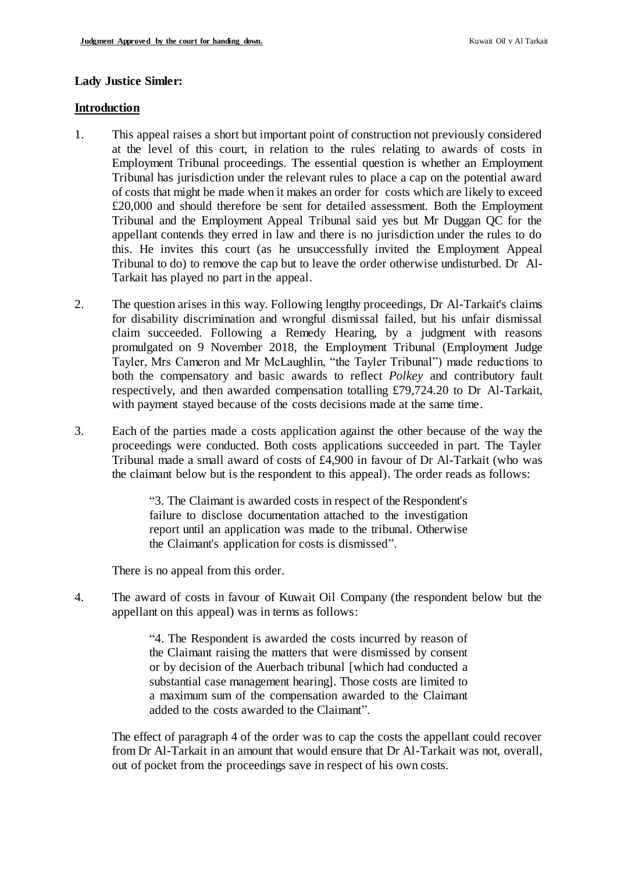#### **Lady Justice Simler:**

#### **Introduction**

- 1. This appeal raises a short but important point of construction not previously considered at the level of this court, in relation to the rules relating to awards of costs in Employment Tribunal proceedings. The essential question is whether an Employment Tribunal has jurisdiction under the relevant rules to place a cap on the potential award of costs that might be made when it makes an order for costs which are likely to exceed £20,000 and should therefore be sent for detailed assessment. Both the Employment Tribunal and the Employment Appeal Tribunal said yes but Mr Duggan QC for the appellant contends they erred in law and there is no jurisdiction under the rules to do this. He invites this court (as he unsuccessfully invited the Employment Appeal Tribunal to do) to remove the cap but to leave the order otherwise undisturbed. Dr Al-Tarkait has played no part in the appeal.
- 2. The question arises in this way. Following lengthy proceedings, Dr Al-Tarkait's claims for disability discrimination and wrongful dismissal failed, but his unfair dismissal claim succeeded. Following a Remedy Hearing, by a judgment with reasons promulgated on 9 November 2018, the Employment Tribunal (Employment Judge Tayler, Mrs Cameron and Mr McLaughlin, "the Tayler Tribunal") made reductions to both the compensatory and basic awards to reflect *Polkey* and contributory fault respectively, and then awarded compensation totalling £79,724.20 to Dr Al-Tarkait, with payment stayed because of the costs decisions made at the same time.
- 3. Each of the parties made a costs application against the other because of the way the proceedings were conducted. Both costs applications succeeded in part. The Tayler Tribunal made a small award of costs of £4,900 in favour of Dr Al-Tarkait (who was the claimant below but is the respondent to this appeal). The order reads as follows:

"3. The Claimant is awarded costs in respect of the Respondent's failure to disclose documentation attached to the investigation report until an application was made to the tribunal. Otherwise the Claimant's application for costs is dismissed".

There is no appeal from this order.

4. The award of costs in favour of Kuwait Oil Company (the respondent below but the appellant on this appeal) was in terms as follows:

> "4. The Respondent is awarded the costs incurred by reason of the Claimant raising the matters that were dismissed by consent or by decision of the Auerbach tribunal [which had conducted a substantial case management hearing]. Those costs are limited to a maximum sum of the compensation awarded to the Claimant added to the costs awarded to the Claimant".

The effect of paragraph 4 of the order was to cap the costs the appellant could recover from Dr Al-Tarkait in an amount that would ensure that Dr Al-Tarkait was not, overall, out of pocket from the proceedings save in respect of his own costs.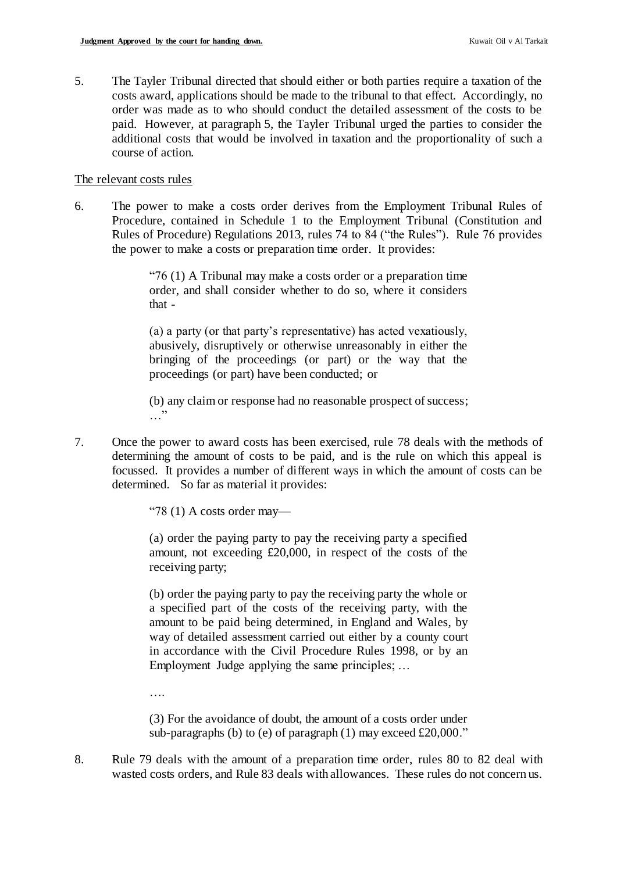5. The Tayler Tribunal directed that should either or both parties require a taxation of the costs award, applications should be made to the tribunal to that effect. Accordingly, no order was made as to who should conduct the detailed assessment of the costs to be paid. However, at paragraph 5, the Tayler Tribunal urged the parties to consider the additional costs that would be involved in taxation and the proportionality of such a course of action.

## The relevant costs rules

6. The power to make a costs order derives from the Employment Tribunal Rules of Procedure, contained in Schedule 1 to the Employment Tribunal (Constitution and Rules of Procedure) Regulations 2013, rules 74 to 84 ("the Rules"). Rule 76 provides the power to make a costs or preparation time order. It provides:

> "76 (1) A Tribunal may make a costs order or a preparation time order, and shall consider whether to do so, where it considers that -

> (a) a party (or that party's representative) has acted vexatiously, abusively, disruptively or otherwise unreasonably in either the bringing of the proceedings (or part) or the way that the proceedings (or part) have been conducted; or

> (b) any claim or response had no reasonable prospect of success;  $\cdots$

7. Once the power to award costs has been exercised, rule 78 deals with the methods of determining the amount of costs to be paid, and is the rule on which this appeal is focussed. It provides a number of different ways in which the amount of costs can be determined. So far as material it provides:

"78 (1) A costs order may—

(a) order the paying party to pay the receiving party a specified amount, not exceeding £20,000, in respect of the costs of the receiving party;

(b) order the paying party to pay the receiving party the whole or a specified part of the costs of the receiving party, with the amount to be paid being determined, in England and Wales, by way of detailed assessment carried out either by a county court in accordance with the Civil Procedure Rules 1998, or by an Employment Judge applying the same principles; …

….

(3) For the avoidance of doubt, the amount of a costs order under sub-paragraphs (b) to (e) of paragraph (1) may exceed £20,000."

8. Rule 79 deals with the amount of a preparation time order, rules 80 to 82 deal with wasted costs orders, and Rule 83 deals with allowances. These rules do not concern us.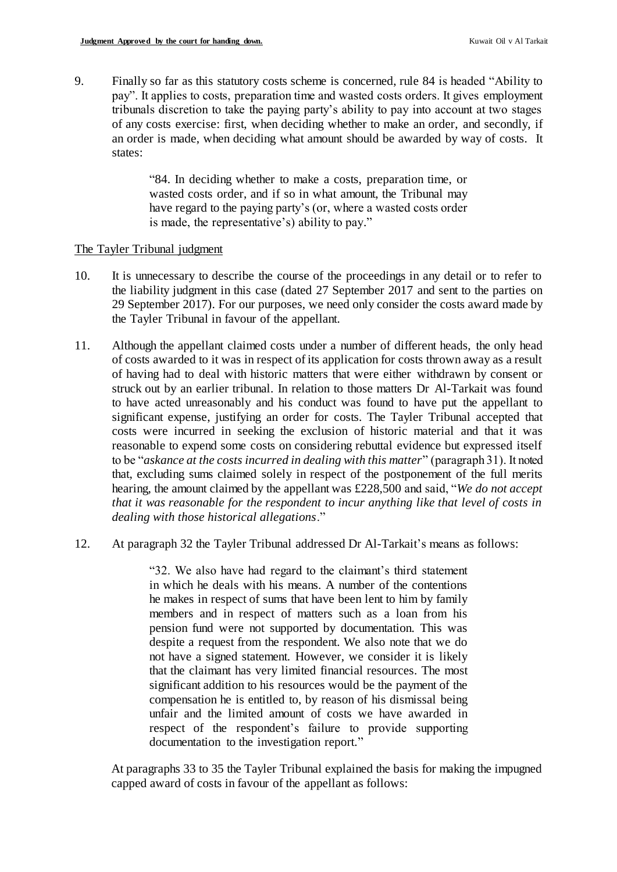9. Finally so far as this statutory costs scheme is concerned, rule 84 is headed "Ability to pay". It applies to costs, preparation time and wasted costs orders. It gives employment tribunals discretion to take the paying party's ability to pay into account at two stages of any costs exercise: first, when deciding whether to make an order, and secondly, if an order is made, when deciding what amount should be awarded by way of costs. It states:

> "84. In deciding whether to make a costs, preparation time, or wasted costs order, and if so in what amount, the Tribunal may have regard to the paying party's (or, where a wasted costs order is made, the representative's) ability to pay."

#### The Tayler Tribunal judgment

- 10. It is unnecessary to describe the course of the proceedings in any detail or to refer to the liability judgment in this case (dated 27 September 2017 and sent to the parties on 29 September 2017). For our purposes, we need only consider the costs award made by the Tayler Tribunal in favour of the appellant.
- 11. Although the appellant claimed costs under a number of different heads, the only head of costs awarded to it was in respect of its application for costs thrown away as a result of having had to deal with historic matters that were either withdrawn by consent or struck out by an earlier tribunal. In relation to those matters Dr Al-Tarkait was found to have acted unreasonably and his conduct was found to have put the appellant to significant expense, justifying an order for costs. The Tayler Tribunal accepted that costs were incurred in seeking the exclusion of historic material and that it was reasonable to expend some costs on considering rebuttal evidence but expressed itself to be "*askance at the costs incurred in dealing with this matter*" (paragraph 31). It noted that, excluding sums claimed solely in respect of the postponement of the full merits hearing, the amount claimed by the appellant was £228,500 and said, "*We do not accept that it was reasonable for the respondent to incur anything like that level of costs in dealing with those historical allegations*."
- 12. At paragraph 32 the Tayler Tribunal addressed Dr Al-Tarkait's means as follows:

"32. We also have had regard to the claimant's third statement in which he deals with his means. A number of the contentions he makes in respect of sums that have been lent to him by family members and in respect of matters such as a loan from his pension fund were not supported by documentation. This was despite a request from the respondent. We also note that we do not have a signed statement. However, we consider it is likely that the claimant has very limited financial resources. The most significant addition to his resources would be the payment of the compensation he is entitled to, by reason of his dismissal being unfair and the limited amount of costs we have awarded in respect of the respondent's failure to provide supporting documentation to the investigation report."

At paragraphs 33 to 35 the Tayler Tribunal explained the basis for making the impugned capped award of costs in favour of the appellant as follows: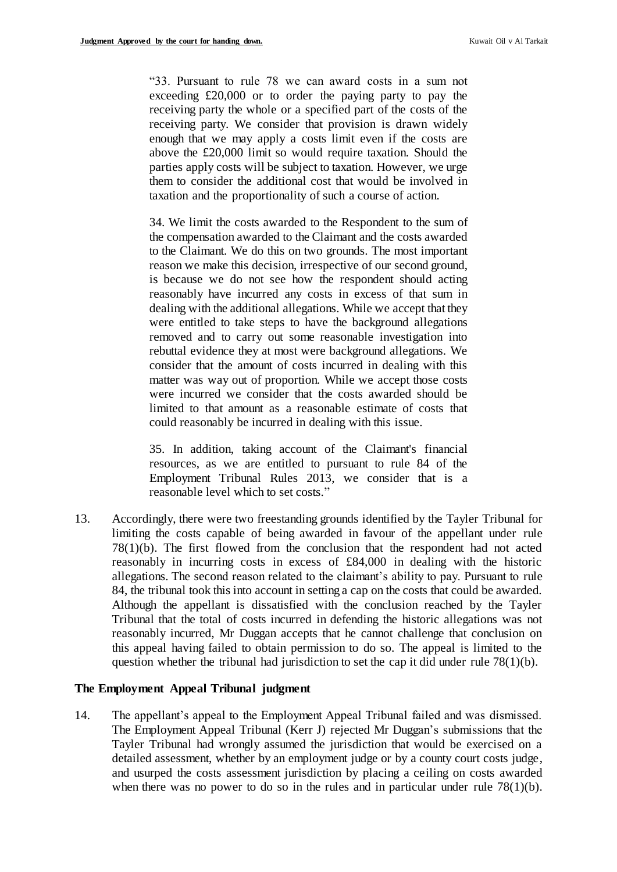"33. Pursuant to rule 78 we can award costs in a sum not exceeding £20,000 or to order the paying party to pay the receiving party the whole or a specified part of the costs of the receiving party. We consider that provision is drawn widely enough that we may apply a costs limit even if the costs are above the £20,000 limit so would require taxation. Should the parties apply costs will be subject to taxation. However, we urge them to consider the additional cost that would be involved in taxation and the proportionality of such a course of action.

34. We limit the costs awarded to the Respondent to the sum of the compensation awarded to the Claimant and the costs awarded to the Claimant. We do this on two grounds. The most important reason we make this decision, irrespective of our second ground, is because we do not see how the respondent should acting reasonably have incurred any costs in excess of that sum in dealing with the additional allegations. While we accept that they were entitled to take steps to have the background allegations removed and to carry out some reasonable investigation into rebuttal evidence they at most were background allegations. We consider that the amount of costs incurred in dealing with this matter was way out of proportion. While we accept those costs were incurred we consider that the costs awarded should be limited to that amount as a reasonable estimate of costs that could reasonably be incurred in dealing with this issue.

35. In addition, taking account of the Claimant's financial resources, as we are entitled to pursuant to rule 84 of the Employment Tribunal Rules 2013, we consider that is a reasonable level which to set costs."

13. Accordingly, there were two freestanding grounds identified by the Tayler Tribunal for limiting the costs capable of being awarded in favour of the appellant under rule 78(1)(b). The first flowed from the conclusion that the respondent had not acted reasonably in incurring costs in excess of £84,000 in dealing with the historic allegations. The second reason related to the claimant's ability to pay. Pursuant to rule 84, the tribunal took this into account in setting a cap on the costs that could be awarded. Although the appellant is dissatisfied with the conclusion reached by the Tayler Tribunal that the total of costs incurred in defending the historic allegations was not reasonably incurred, Mr Duggan accepts that he cannot challenge that conclusion on this appeal having failed to obtain permission to do so. The appeal is limited to the question whether the tribunal had jurisdiction to set the cap it did under rule  $78(1)(b)$ .

#### **The Employment Appeal Tribunal judgment**

14. The appellant's appeal to the Employment Appeal Tribunal failed and was dismissed. The Employment Appeal Tribunal (Kerr J) rejected Mr Duggan's submissions that the Tayler Tribunal had wrongly assumed the jurisdiction that would be exercised on a detailed assessment, whether by an employment judge or by a county court costs judge, and usurped the costs assessment jurisdiction by placing a ceiling on costs awarded when there was no power to do so in the rules and in particular under rule  $78(1)(b)$ .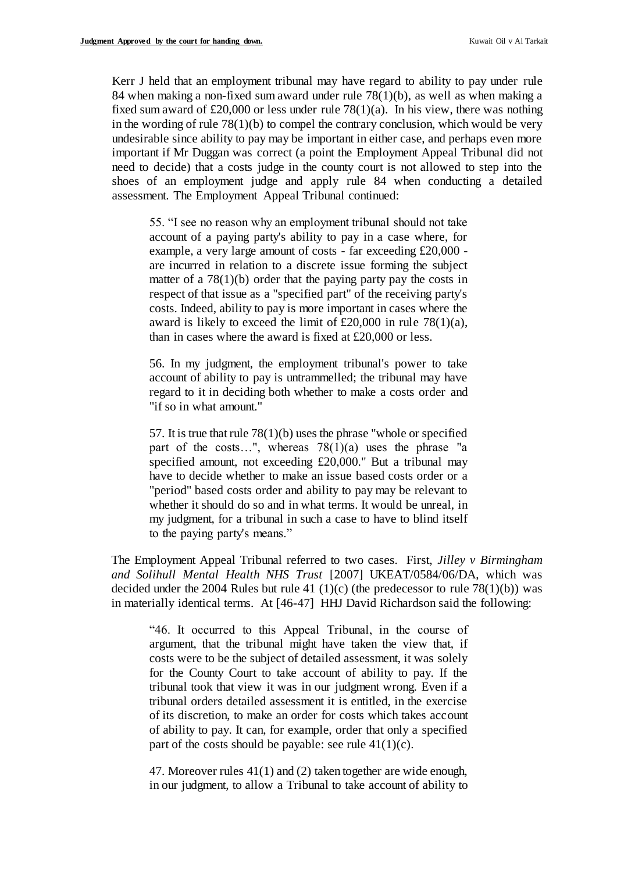Kerr J held that an employment tribunal may have regard to ability to pay under rule 84 when making a non-fixed sum award under rule 78(1)(b), as well as when making a fixed sum award of £20,000 or less under rule  $78(1)(a)$ . In his view, there was nothing in the wording of rule  $78(1)(b)$  to compel the contrary conclusion, which would be very undesirable since ability to pay may be important in either case, and perhaps even more important if Mr Duggan was correct (a point the Employment Appeal Tribunal did not need to decide) that a costs judge in the county court is not allowed to step into the shoes of an employment judge and apply rule 84 when conducting a detailed assessment. The Employment Appeal Tribunal continued:

55. "I see no reason why an employment tribunal should not take account of a paying party's ability to pay in a case where, for example, a very large amount of costs - far exceeding £20,000 are incurred in relation to a discrete issue forming the subject matter of a  $78(1)(b)$  order that the paying party pay the costs in respect of that issue as a "specified part" of the receiving party's costs. Indeed, ability to pay is more important in cases where the award is likely to exceed the limit of  $£20,000$  in rule 78(1)(a), than in cases where the award is fixed at £20,000 or less.

56. In my judgment, the employment tribunal's power to take account of ability to pay is untrammelled; the tribunal may have regard to it in deciding both whether to make a costs order and "if so in what amount."

57. It is true that rule 78(1)(b) uses the phrase "whole or specified part of the costs...", whereas  $78(1)(a)$  uses the phrase "a specified amount, not exceeding £20,000." But a tribunal may have to decide whether to make an issue based costs order or a "period" based costs order and ability to pay may be relevant to whether it should do so and in what terms. It would be unreal, in my judgment, for a tribunal in such a case to have to blind itself to the paying party's means."

The Employment Appeal Tribunal referred to two cases. First, *Jilley v Birmingham and Solihull Mental Health NHS Trust* [2007] UKEAT/0584/06/DA, which was decided under the 2004 Rules but rule 41 (1)(c) (the predecessor to rule 78(1)(b)) was in materially identical terms. At [46-47] HHJ David Richardson said the following:

"46. It occurred to this Appeal Tribunal, in the course of argument, that the tribunal might have taken the view that, if costs were to be the subject of detailed assessment, it was solely for the County Court to take account of ability to pay. If the tribunal took that view it was in our judgment wrong. Even if a tribunal orders detailed assessment it is entitled, in the exercise of its discretion, to make an order for costs which takes account of ability to pay. It can, for example, order that only a specified part of the costs should be payable: see rule  $41(1)(c)$ .

47. Moreover rules 41(1) and (2) taken together are wide enough, in our judgment, to allow a Tribunal to take account of ability to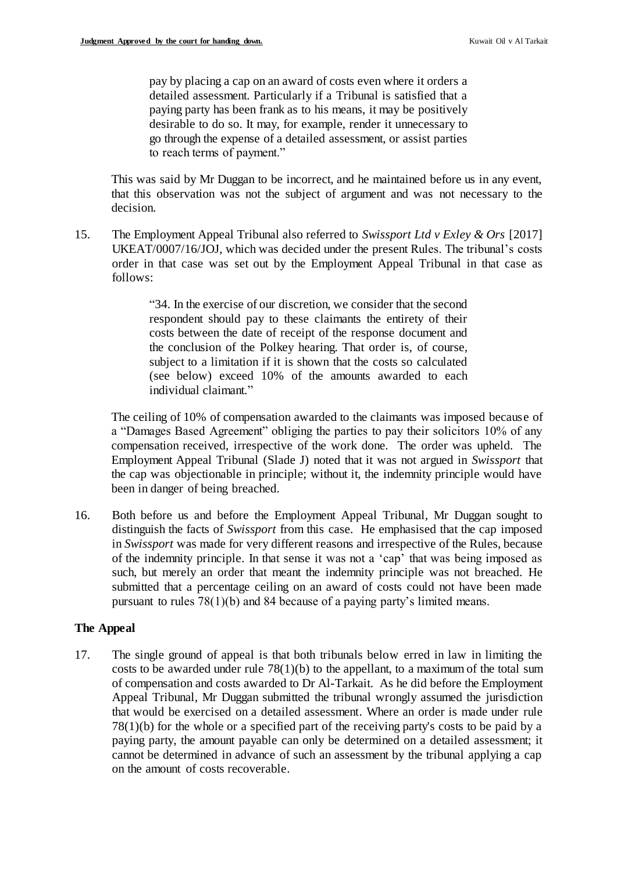pay by placing a cap on an award of costs even where it orders a detailed assessment. Particularly if a Tribunal is satisfied that a paying party has been frank as to his means, it may be positively desirable to do so. It may, for example, render it unnecessary to go through the expense of a detailed assessment, or assist parties to reach terms of payment."

This was said by Mr Duggan to be incorrect, and he maintained before us in any event, that this observation was not the subject of argument and was not necessary to the decision.

15. The Employment Appeal Tribunal also referred to *Swissport Ltd v Exley & Ors* [2017] UKEAT/0007/16/JOJ, which was decided under the present Rules. The tribunal's costs order in that case was set out by the Employment Appeal Tribunal in that case as follows:

> "34. In the exercise of our discretion, we consider that the second respondent should pay to these claimants the entirety of their costs between the date of receipt of the response document and the conclusion of the Polkey hearing. That order is, of course, subject to a limitation if it is shown that the costs so calculated (see below) exceed 10% of the amounts awarded to each individual claimant."

The ceiling of 10% of compensation awarded to the claimants was imposed because of a "Damages Based Agreement" obliging the parties to pay their solicitors 10% of any compensation received, irrespective of the work done. The order was upheld. The Employment Appeal Tribunal (Slade J) noted that it was not argued in *Swissport* that the cap was objectionable in principle; without it, the indemnity principle would have been in danger of being breached.

16. Both before us and before the Employment Appeal Tribunal, Mr Duggan sought to distinguish the facts of *Swissport* from this case. He emphasised that the cap imposed in *Swissport* was made for very different reasons and irrespective of the Rules, because of the indemnity principle. In that sense it was not a 'cap' that was being imposed as such, but merely an order that meant the indemnity principle was not breached. He submitted that a percentage ceiling on an award of costs could not have been made pursuant to rules 78(1)(b) and 84 because of a paying party's limited means.

### **The Appeal**

17. The single ground of appeal is that both tribunals below erred in law in limiting the costs to be awarded under rule  $78(1)(b)$  to the appellant, to a maximum of the total sum of compensation and costs awarded to Dr Al-Tarkait. As he did before the Employment Appeal Tribunal, Mr Duggan submitted the tribunal wrongly assumed the jurisdiction that would be exercised on a detailed assessment. Where an order is made under rule 78(1)(b) for the whole or a specified part of the receiving party's costs to be paid by a paying party, the amount payable can only be determined on a detailed assessment; it cannot be determined in advance of such an assessment by the tribunal applying a cap on the amount of costs recoverable.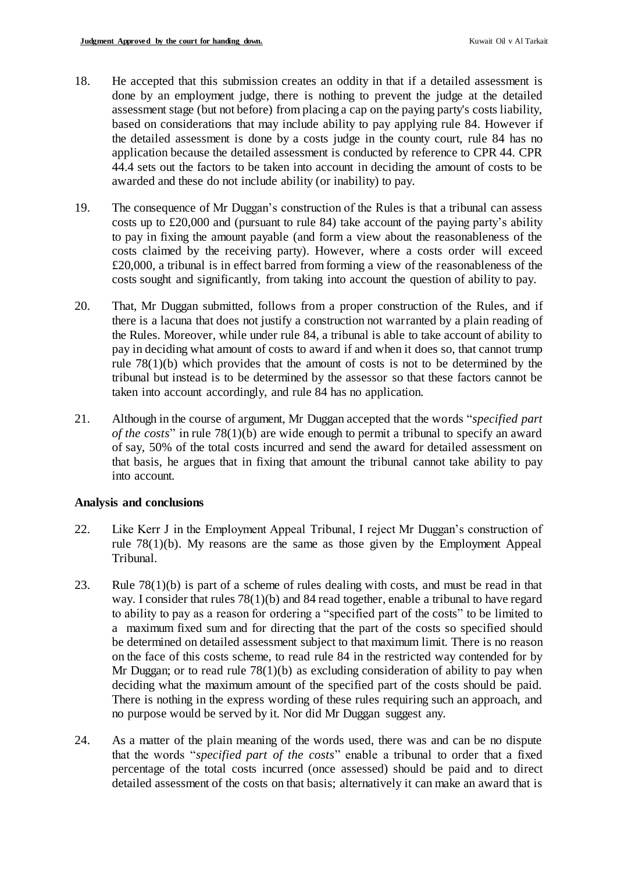- 18. He accepted that this submission creates an oddity in that if a detailed assessment is done by an employment judge, there is nothing to prevent the judge at the detailed assessment stage (but not before) from placing a cap on the paying party's costs liability, based on considerations that may include ability to pay applying rule 84. However if the detailed assessment is done by a costs judge in the county court, rule 84 has no application because the detailed assessment is conducted by reference to CPR 44. CPR 44.4 sets out the factors to be taken into account in deciding the amount of costs to be awarded and these do not include ability (or inability) to pay.
- 19. The consequence of Mr Duggan's construction of the Rules is that a tribunal can assess costs up to £20,000 and (pursuant to rule 84) take account of the paying party's ability to pay in fixing the amount payable (and form a view about the reasonableness of the costs claimed by the receiving party). However, where a costs order will exceed £20,000, a tribunal is in effect barred from forming a view of the reasonableness of the costs sought and significantly, from taking into account the question of ability to pay.
- 20. That, Mr Duggan submitted, follows from a proper construction of the Rules, and if there is a lacuna that does not justify a construction not warranted by a plain reading of the Rules. Moreover, while under rule 84, a tribunal is able to take account of ability to pay in deciding what amount of costs to award if and when it does so, that cannot trump rule 78(1)(b) which provides that the amount of costs is not to be determined by the tribunal but instead is to be determined by the assessor so that these factors cannot be taken into account accordingly, and rule 84 has no application.
- 21. Although in the course of argument, Mr Duggan accepted that the words "*specified part of the costs*" in rule 78(1)(b) are wide enough to permit a tribunal to specify an award of say, 50% of the total costs incurred and send the award for detailed assessment on that basis, he argues that in fixing that amount the tribunal cannot take ability to pay into account.

### **Analysis and conclusions**

- 22. Like Kerr J in the Employment Appeal Tribunal, I reject Mr Duggan's construction of rule 78(1)(b). My reasons are the same as those given by the Employment Appeal Tribunal.
- 23. Rule 78(1)(b) is part of a scheme of rules dealing with costs, and must be read in that way. I consider that rules 78(1)(b) and 84 read together, enable a tribunal to have regard to ability to pay as a reason for ordering a "specified part of the costs" to be limited to a maximum fixed sum and for directing that the part of the costs so specified should be determined on detailed assessment subject to that maximum limit. There is no reason on the face of this costs scheme, to read rule 84 in the restricted way contended for by Mr Duggan; or to read rule 78(1)(b) as excluding consideration of ability to pay when deciding what the maximum amount of the specified part of the costs should be paid. There is nothing in the express wording of these rules requiring such an approach, and no purpose would be served by it. Nor did Mr Duggan suggest any.
- 24. As a matter of the plain meaning of the words used, there was and can be no dispute that the words "*specified part of the costs*" enable a tribunal to order that a fixed percentage of the total costs incurred (once assessed) should be paid and to direct detailed assessment of the costs on that basis; alternatively it can make an award that is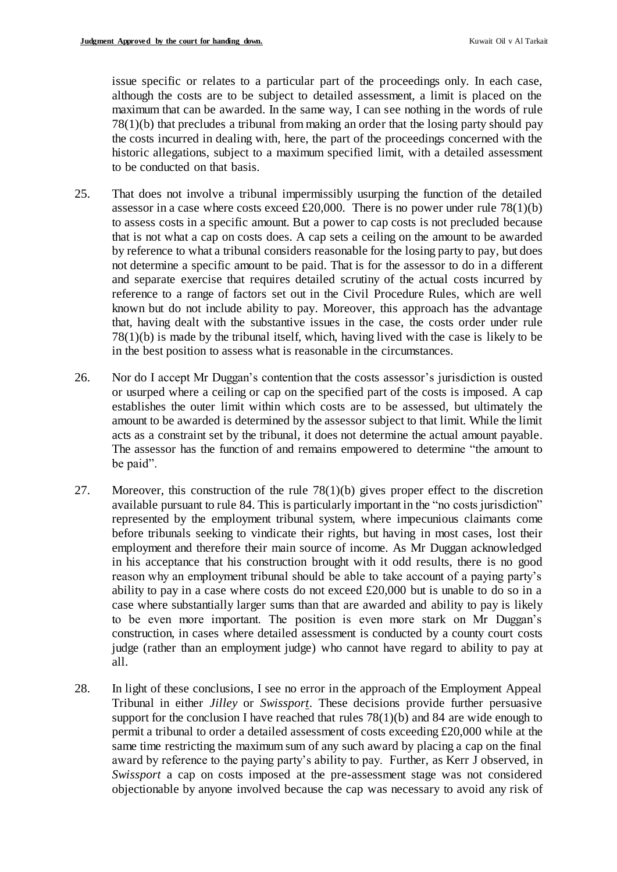issue specific or relates to a particular part of the proceedings only. In each case, although the costs are to be subject to detailed assessment, a limit is placed on the maximum that can be awarded. In the same way, I can see nothing in the words of rule 78(1)(b) that precludes a tribunal from making an order that the losing party should pay the costs incurred in dealing with, here, the part of the proceedings concerned with the historic allegations, subject to a maximum specified limit, with a detailed assessment to be conducted on that basis.

- 25. That does not involve a tribunal impermissibly usurping the function of the detailed assessor in a case where costs exceed £20,000. There is no power under rule  $78(1)(b)$ to assess costs in a specific amount. But a power to cap costs is not precluded because that is not what a cap on costs does. A cap sets a ceiling on the amount to be awarded by reference to what a tribunal considers reasonable for the losing party to pay, but does not determine a specific amount to be paid. That is for the assessor to do in a different and separate exercise that requires detailed scrutiny of the actual costs incurred by reference to a range of factors set out in the Civil Procedure Rules, which are well known but do not include ability to pay. Moreover, this approach has the advantage that, having dealt with the substantive issues in the case, the costs order under rule 78(1)(b) is made by the tribunal itself, which, having lived with the case is likely to be in the best position to assess what is reasonable in the circumstances.
- 26. Nor do I accept Mr Duggan's contention that the costs assessor's jurisdiction is ousted or usurped where a ceiling or cap on the specified part of the costs is imposed. A cap establishes the outer limit within which costs are to be assessed, but ultimately the amount to be awarded is determined by the assessor subject to that limit. While the limit acts as a constraint set by the tribunal, it does not determine the actual amount payable. The assessor has the function of and remains empowered to determine "the amount to be paid".
- 27. Moreover, this construction of the rule 78(1)(b) gives proper effect to the discretion available pursuant to rule 84. This is particularly important in the "no costs jurisdiction" represented by the employment tribunal system, where impecunious claimants come before tribunals seeking to vindicate their rights, but having in most cases, lost their employment and therefore their main source of income. As Mr Duggan acknowledged in his acceptance that his construction brought with it odd results, there is no good reason why an employment tribunal should be able to take account of a paying party's ability to pay in a case where costs do not exceed £20,000 but is unable to do so in a case where substantially larger sums than that are awarded and ability to pay is likely to be even more important. The position is even more stark on Mr Duggan's construction, in cases where detailed assessment is conducted by a county court costs judge (rather than an employment judge) who cannot have regard to ability to pay at all.
- 28. In light of these conclusions, I see no error in the approach of the Employment Appeal Tribunal in either *Jilley* or *Swissport*. These decisions provide further persuasive support for the conclusion I have reached that rules  $78(1)(b)$  and 84 are wide enough to permit a tribunal to order a detailed assessment of costs exceeding £20,000 while at the same time restricting the maximum sum of any such award by placing a cap on the final award by reference to the paying party's ability to pay. Further, as Kerr J observed, in *Swissport* a cap on costs imposed at the pre-assessment stage was not considered objectionable by anyone involved because the cap was necessary to avoid any risk of